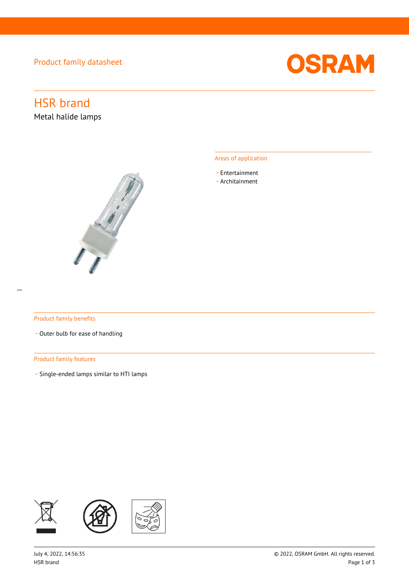Product family datasheet



# HSR brand

Metal halide lamps



# Areas of application

- \_ Entertainment
- \_ Architainment

# Product family benefits

- Outer bulb for ease of handling

# Product family features

\_ Single-ended lamps similar to HTI lamps

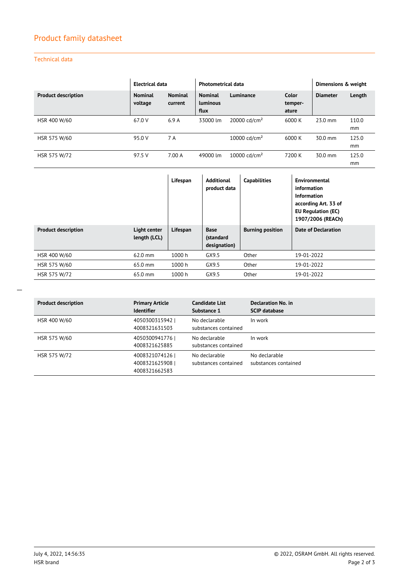# Product family datasheet

# Technical data

|                            | Electrical data           |                           | <b>Photometrical data</b>                 |                          |                           | Dimensions & weight |             |
|----------------------------|---------------------------|---------------------------|-------------------------------------------|--------------------------|---------------------------|---------------------|-------------|
| <b>Product description</b> | <b>Nominal</b><br>voltage | <b>Nominal</b><br>current | <b>Nominal</b><br><b>Luminous</b><br>flux | Luminance                | Color<br>temper-<br>ature | <b>Diameter</b>     | Length      |
| HSR 400 W/60               | 67.0 V                    | 6.9A                      | 33000 lm                                  | 20000 cd/cm <sup>2</sup> | 6000 K                    | $23.0$ mm           | 110.0<br>mm |
| HSR 575 W/60               | 95.0 V                    | 7 A                       |                                           | 10000 cd/cm <sup>2</sup> | 6000 K                    | $30.0$ mm           | 125.0<br>mm |
| HSR 575 W/72               | 97.5 V                    | 7.00 A                    | 49000 lm                                  | 10000 $\text{cd/cm}^2$   | 7200 K                    | 30.0 mm             | 125.0<br>mm |

|                            |                              | Lifespan | <b>Additional</b><br>product data        | <b>Capabilities</b>     | Environmental<br>information<br>Information<br>according Art. 33 of<br><b>EU Regulation (EC)</b><br>1907/2006 (REACh) |
|----------------------------|------------------------------|----------|------------------------------------------|-------------------------|-----------------------------------------------------------------------------------------------------------------------|
| <b>Product description</b> | Light center<br>length (LCL) | Lifespan | <b>Base</b><br>(standard<br>designation) | <b>Burning position</b> | Date of Declaration                                                                                                   |
| HSR 400 W/60               | 62.0 mm                      | 1000 h   | GX9.5                                    | Other                   | 19-01-2022                                                                                                            |
| HSR 575 W/60               | 65.0 mm                      | 1000h    | GX9.5                                    | Other                   | 19-01-2022                                                                                                            |
| HSR 575 W/72               | 65.0 mm                      | 1000 h   | GX9.5                                    | Other                   | 19-01-2022                                                                                                            |

| <b>Product description</b> | <b>Primary Article</b><br><b>Identifier</b>     | <b>Candidate List</b><br>Substance 1  | Declaration No. in<br><b>SCIP database</b> |
|----------------------------|-------------------------------------------------|---------------------------------------|--------------------------------------------|
| HSR 400 W/60               | 4050300315942<br>4008321631503                  | No declarable<br>substances contained | In work                                    |
| HSR 575 W/60               | 4050300941776<br>4008321625885                  | No declarable<br>substances contained | In work                                    |
| HSR 575 W/72               | 4008321074126<br>4008321625908<br>4008321662583 | No declarable<br>substances contained | No declarable<br>substances contained      |